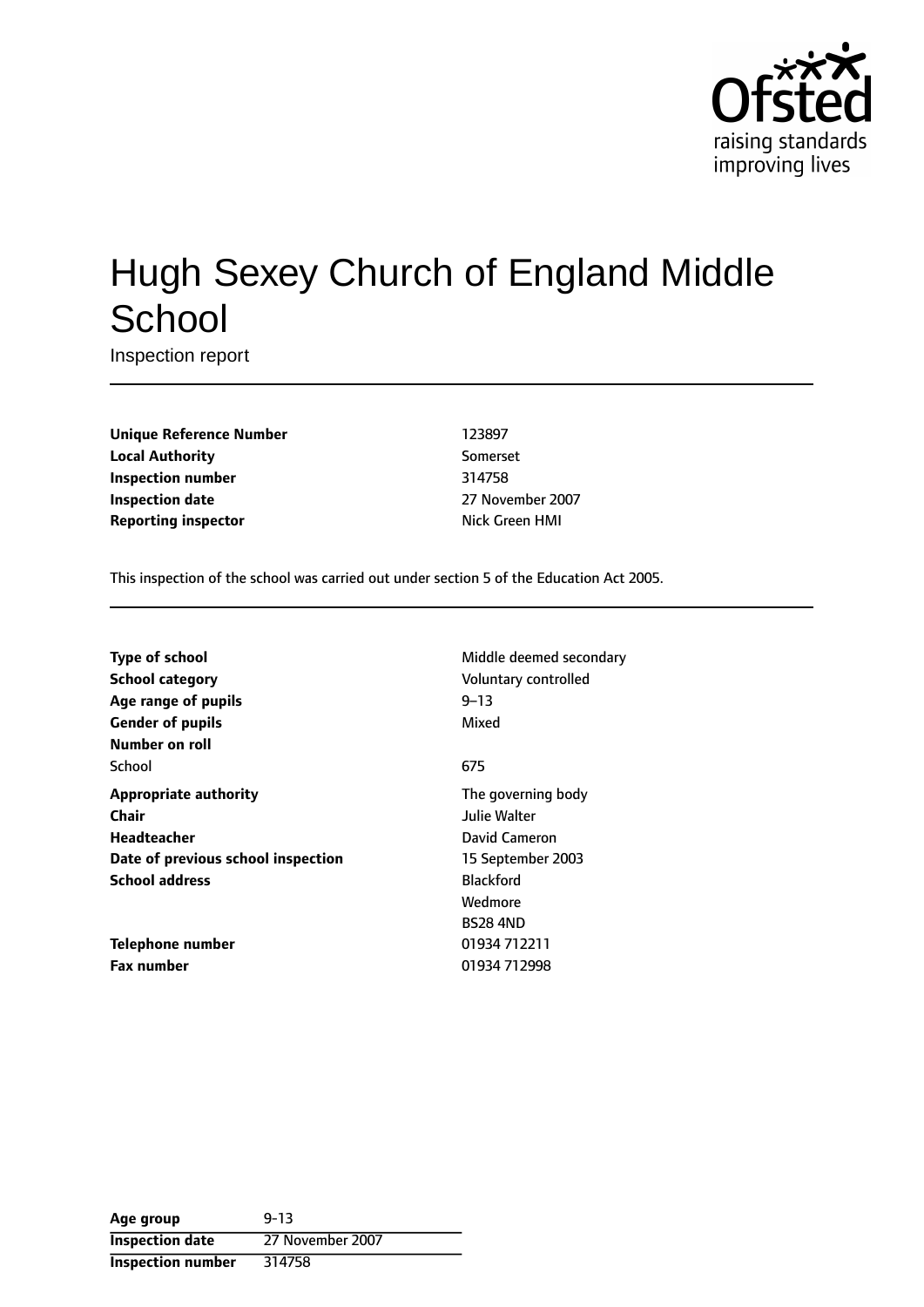

# Hugh Sexey Church of England Middle **School**

Inspection report

**Unique Reference Number** 123897 **Local Authority** Somerset **Inspection number** 314758 **Inspection date** 27 November 2007 **Reporting inspector Nick Green HMI** 

This inspection of the school was carried out under section 5 of the Education Act 2005.

| <b>Type of school</b><br>School category<br>Age range of pupils<br><b>Gender of pupils</b><br>Number on roll               | Middle deemed secondary<br>Voluntary controlled<br>$9 - 13$<br>Mixed                                    |
|----------------------------------------------------------------------------------------------------------------------------|---------------------------------------------------------------------------------------------------------|
| School                                                                                                                     | 675                                                                                                     |
| <b>Appropriate authority</b><br>Chair<br><b>Headteacher</b><br>Date of previous school inspection<br><b>School address</b> | The governing body<br>Julie Walter<br>David Cameron<br>15 September 2003<br><b>Blackford</b><br>Wedmore |
| Telephone number<br><b>Fax number</b>                                                                                      | <b>BS28 4ND</b><br>01934 712211<br>01934 712998                                                         |

| Age group                | $9 - 13$         |
|--------------------------|------------------|
| <b>Inspection date</b>   | 27 November 2007 |
| <b>Inspection number</b> | 314758           |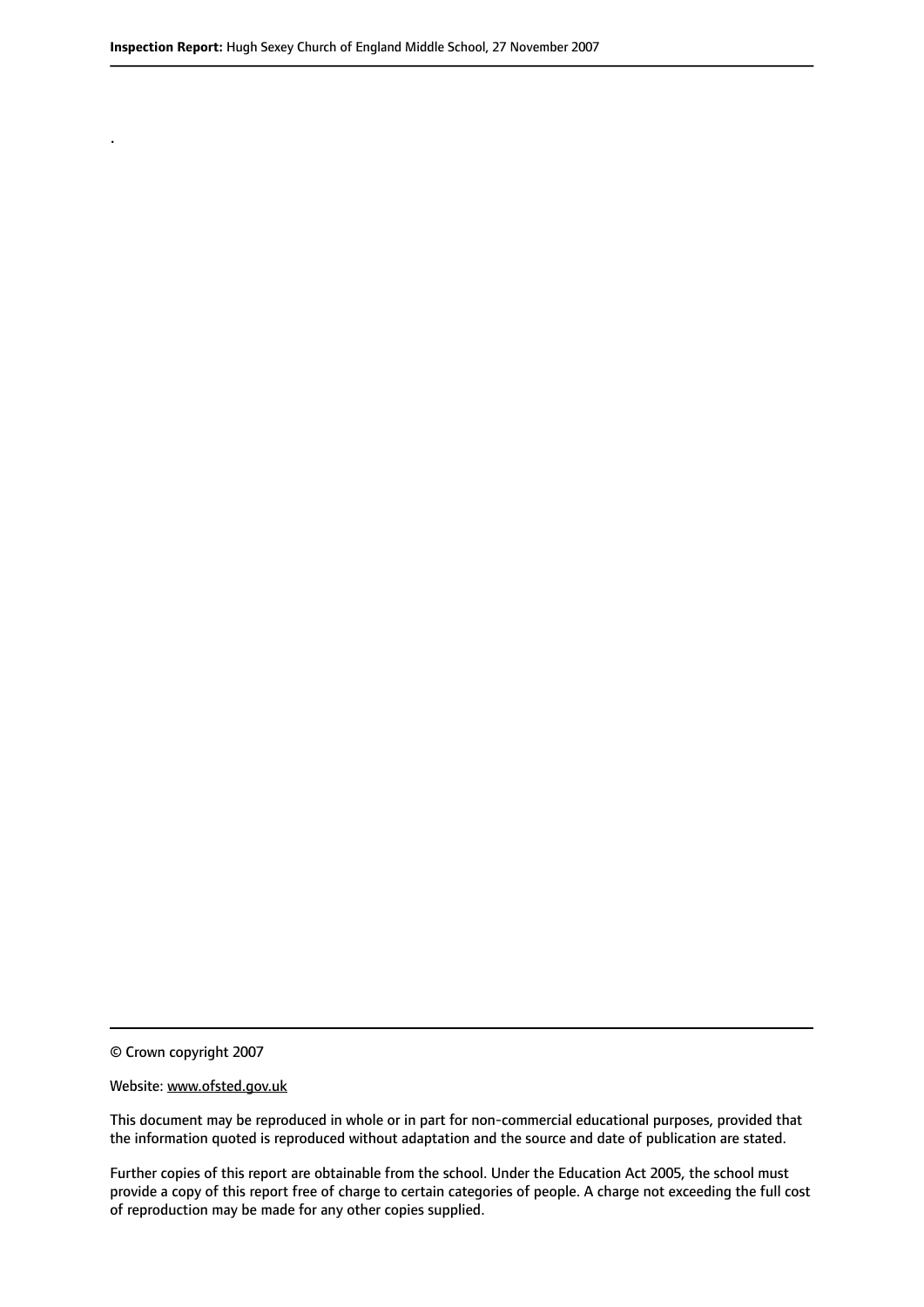© Crown copyright 2007

.

#### Website: www.ofsted.gov.uk

This document may be reproduced in whole or in part for non-commercial educational purposes, provided that the information quoted is reproduced without adaptation and the source and date of publication are stated.

Further copies of this report are obtainable from the school. Under the Education Act 2005, the school must provide a copy of this report free of charge to certain categories of people. A charge not exceeding the full cost of reproduction may be made for any other copies supplied.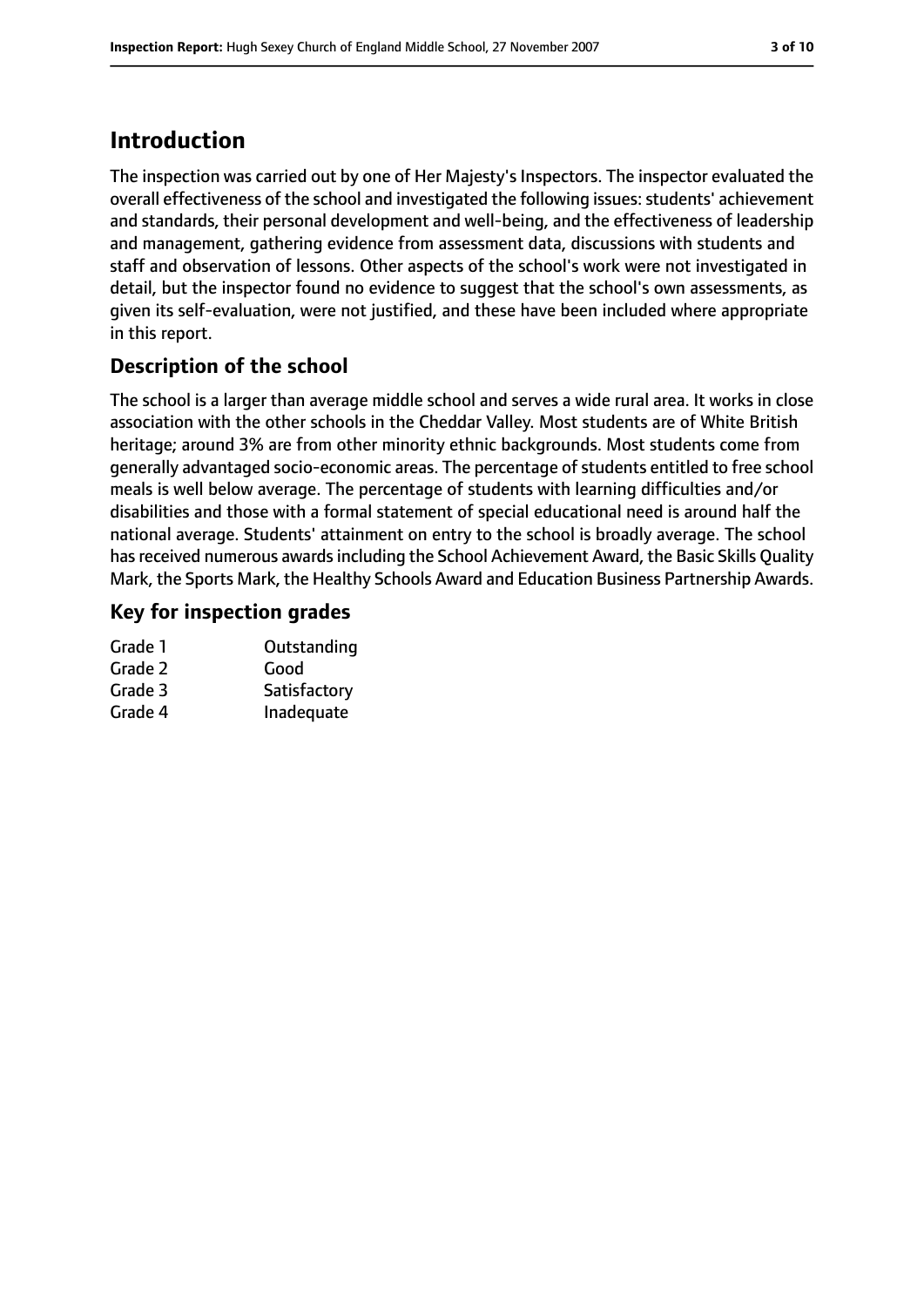## **Introduction**

The inspection was carried out by one of Her Majesty's Inspectors. The inspector evaluated the overall effectiveness of the school and investigated the following issues: students' achievement and standards, their personal development and well-being, and the effectiveness of leadership and management, gathering evidence from assessment data, discussions with students and staff and observation of lessons. Other aspects of the school's work were not investigated in detail, but the inspector found no evidence to suggest that the school's own assessments, as given its self-evaluation, were not justified, and these have been included where appropriate in this report.

#### **Description of the school**

The school is a larger than average middle school and serves a wide rural area. It works in close association with the other schools in the Cheddar Valley. Most students are of White British heritage; around 3% are from other minority ethnic backgrounds. Most students come from generally advantaged socio-economic areas. The percentage of students entitled to free school meals is well below average. The percentage of students with learning difficulties and/or disabilities and those with a formal statement of special educational need is around half the national average. Students' attainment on entry to the school is broadly average. The school has received numerous awards including the School Achievement Award, the Basic Skills Quality Mark, the Sports Mark, the Healthy Schools Award and Education Business Partnership Awards.

#### **Key for inspection grades**

| Outstanding  |
|--------------|
| Good         |
| Satisfactory |
| Inadequate   |
|              |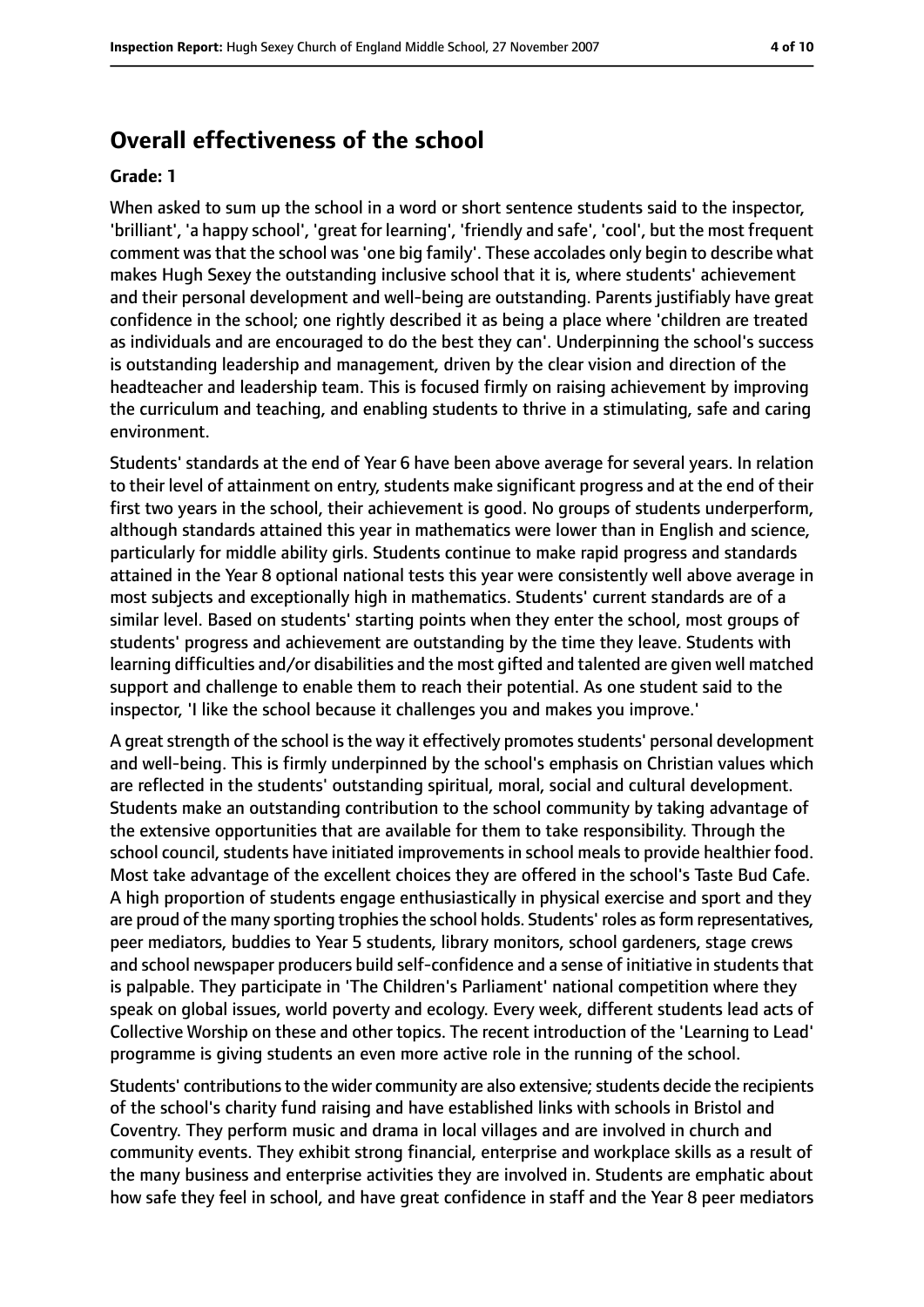#### **Overall effectiveness of the school**

#### **Grade: 1**

When asked to sum up the school in a word or short sentence students said to the inspector, 'brilliant', 'a happy school', 'great for learning', 'friendly and safe', 'cool', but the most frequent comment was that the school was 'one big family'. These accolades only begin to describe what makes Hugh Sexey the outstanding inclusive school that it is, where students' achievement and their personal development and well-being are outstanding. Parents justifiably have great confidence in the school; one rightly described it as being a place where 'children are treated as individuals and are encouraged to do the best they can'. Underpinning the school's success is outstanding leadership and management, driven by the clear vision and direction of the headteacher and leadership team. This is focused firmly on raising achievement by improving the curriculum and teaching, and enabling students to thrive in a stimulating, safe and caring environment.

Students' standards at the end of Year 6 have been above average for several years. In relation to their level of attainment on entry, students make significant progress and at the end of their first two years in the school, their achievement is good. No groups of students underperform, although standards attained this year in mathematics were lower than in English and science, particularly for middle ability girls. Students continue to make rapid progress and standards attained in the Year 8 optional national tests this year were consistently well above average in most subjects and exceptionally high in mathematics. Students' current standards are of a similar level. Based on students' starting points when they enter the school, most groups of students' progress and achievement are outstanding by the time they leave. Students with learning difficulties and/or disabilities and the most gifted and talented are given well matched support and challenge to enable them to reach their potential. As one student said to the inspector, 'I like the school because it challenges you and makes you improve.'

A great strength of the school is the way it effectively promotes students' personal development and well-being. This is firmly underpinned by the school's emphasis on Christian values which are reflected in the students' outstanding spiritual, moral, social and cultural development. Students make an outstanding contribution to the school community by taking advantage of the extensive opportunities that are available for them to take responsibility. Through the school council, students have initiated improvements in school meals to provide healthier food. Most take advantage of the excellent choices they are offered in the school's Taste Bud Cafe. A high proportion of students engage enthusiastically in physical exercise and sport and they are proud of the many sporting trophies the school holds. Students' roles as form representatives, peer mediators, buddies to Year 5 students, library monitors, school gardeners, stage crews and school newspaper producers build self-confidence and a sense of initiative in students that is palpable. They participate in 'The Children's Parliament' national competition where they speak on global issues, world poverty and ecology. Every week, different students lead acts of Collective Worship on these and other topics. The recent introduction of the 'Learning to Lead' programme is giving students an even more active role in the running of the school.

Students' contributions to the wider community are also extensive; students decide the recipients of the school's charity fund raising and have established links with schools in Bristol and Coventry. They perform music and drama in local villages and are involved in church and community events. They exhibit strong financial, enterprise and workplace skills as a result of the many business and enterprise activities they are involved in. Students are emphatic about how safe they feel in school, and have great confidence in staff and the Year 8 peer mediators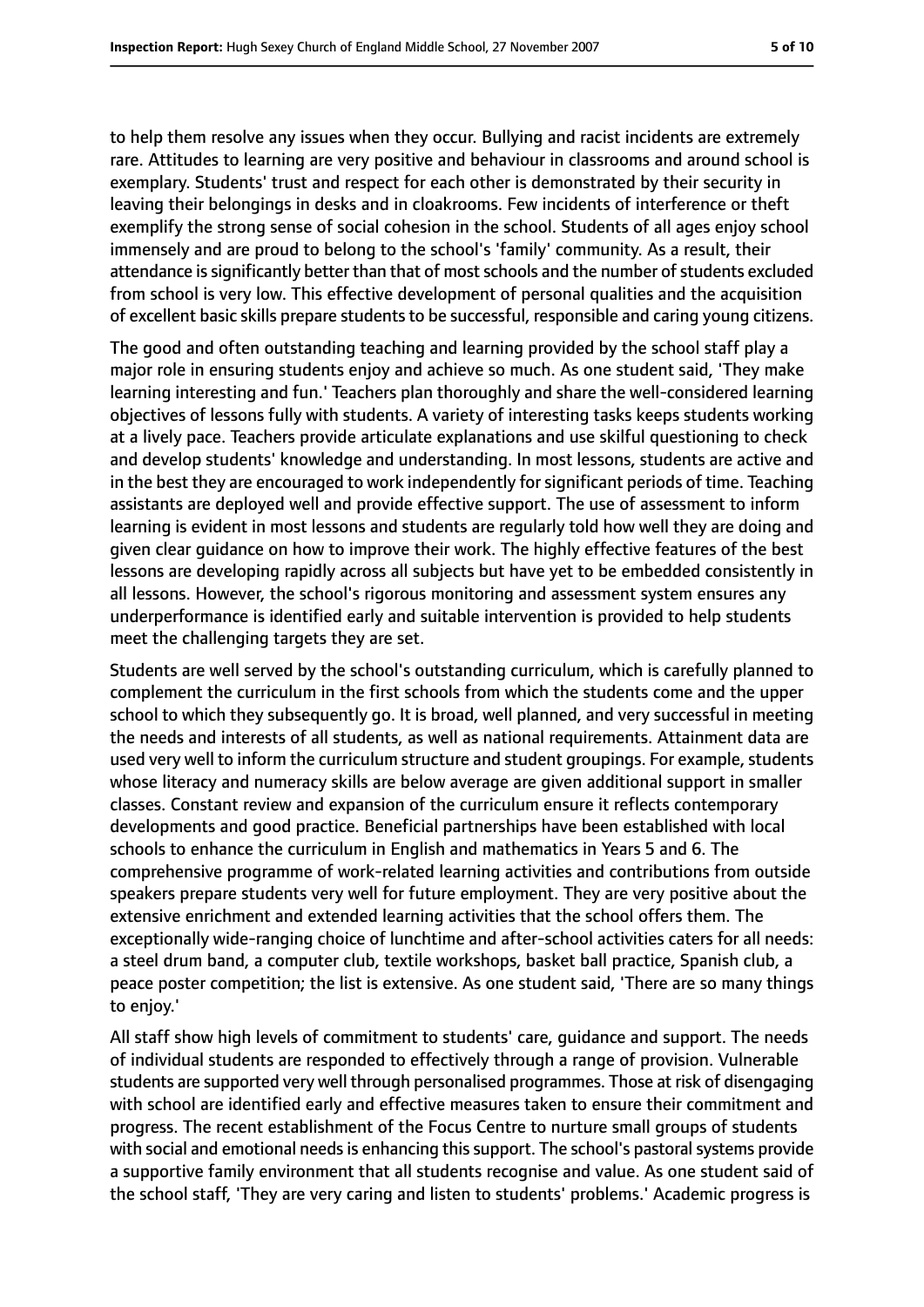to help them resolve any issues when they occur. Bullying and racist incidents are extremely rare. Attitudes to learning are very positive and behaviour in classrooms and around school is exemplary. Students' trust and respect for each other is demonstrated by their security in leaving their belongings in desks and in cloakrooms. Few incidents of interference or theft exemplify the strong sense of social cohesion in the school. Students of all ages enjoy school immensely and are proud to belong to the school's 'family' community. As a result, their attendance is significantly better than that of most schools and the number of students excluded from school is very low. This effective development of personal qualities and the acquisition of excellent basic skills prepare students to be successful, responsible and caring young citizens.

The good and often outstanding teaching and learning provided by the school staff play a major role in ensuring students enjoy and achieve so much. As one student said, 'They make learning interesting and fun.' Teachers plan thoroughly and share the well-considered learning objectives of lessons fully with students. A variety of interesting tasks keeps students working at a lively pace. Teachers provide articulate explanations and use skilful questioning to check and develop students' knowledge and understanding. In most lessons, students are active and in the best they are encouraged to work independently for significant periods of time. Teaching assistants are deployed well and provide effective support. The use of assessment to inform learning is evident in most lessons and students are regularly told how well they are doing and given clear guidance on how to improve their work. The highly effective features of the best lessons are developing rapidly across all subjects but have yet to be embedded consistently in all lessons. However, the school's rigorous monitoring and assessment system ensures any underperformance is identified early and suitable intervention is provided to help students meet the challenging targets they are set.

Students are well served by the school's outstanding curriculum, which is carefully planned to complement the curriculum in the first schools from which the students come and the upper school to which they subsequently go. It is broad, well planned, and very successful in meeting the needs and interests of all students, as well as national requirements. Attainment data are used very well to inform the curriculum structure and student groupings. For example, students whose literacy and numeracy skills are below average are given additional support in smaller classes. Constant review and expansion of the curriculum ensure it reflects contemporary developments and good practice. Beneficial partnerships have been established with local schools to enhance the curriculum in English and mathematics in Years 5 and 6. The comprehensive programme of work-related learning activities and contributions from outside speakers prepare students very well for future employment. They are very positive about the extensive enrichment and extended learning activities that the school offers them. The exceptionally wide-ranging choice of lunchtime and after-school activities caters for all needs: a steel drum band, a computer club, textile workshops, basket ball practice, Spanish club, a peace poster competition; the list is extensive. As one student said, 'There are so many things to enjoy.'

All staff show high levels of commitment to students' care, guidance and support. The needs of individual students are responded to effectively through a range of provision. Vulnerable students are supported very well through personalised programmes. Those at risk of disengaging with school are identified early and effective measures taken to ensure their commitment and progress. The recent establishment of the Focus Centre to nurture small groups of students with social and emotional needs is enhancing this support. The school's pastoral systems provide a supportive family environment that all students recognise and value. As one student said of the school staff, 'They are very caring and listen to students' problems.' Academic progress is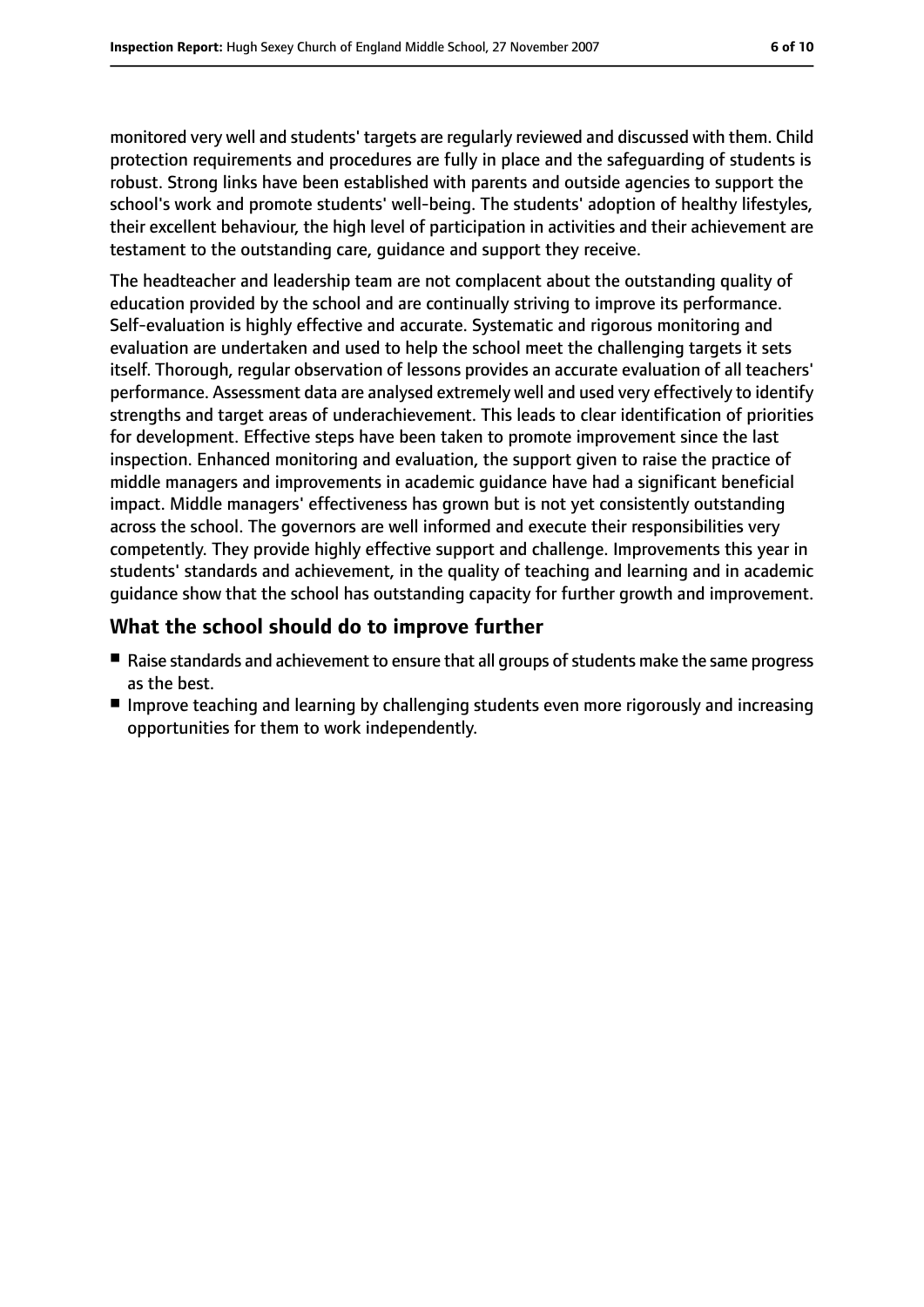monitored very well and students' targets are regularly reviewed and discussed with them. Child protection requirements and procedures are fully in place and the safeguarding of students is robust. Strong links have been established with parents and outside agencies to support the school's work and promote students' well-being. The students' adoption of healthy lifestyles, their excellent behaviour, the high level of participation in activities and their achievement are testament to the outstanding care, guidance and support they receive.

The headteacher and leadership team are not complacent about the outstanding quality of education provided by the school and are continually striving to improve its performance. Self-evaluation is highly effective and accurate. Systematic and rigorous monitoring and evaluation are undertaken and used to help the school meet the challenging targets it sets itself. Thorough, regular observation of lessons provides an accurate evaluation of all teachers' performance. Assessment data are analysed extremely well and used very effectively to identify strengths and target areas of underachievement. This leads to clear identification of priorities for development. Effective steps have been taken to promote improvement since the last inspection. Enhanced monitoring and evaluation, the support given to raise the practice of middle managers and improvements in academic guidance have had a significant beneficial impact. Middle managers' effectiveness has grown but is not yet consistently outstanding across the school. The governors are well informed and execute their responsibilities very competently. They provide highly effective support and challenge. Improvements this year in students' standards and achievement, in the quality of teaching and learning and in academic guidance show that the school has outstanding capacity for further growth and improvement.

#### **What the school should do to improve further**

- Raise standards and achievement to ensure that all groups of students make the same progress as the best.
- Improve teaching and learning by challenging students even more rigorously and increasing opportunities for them to work independently.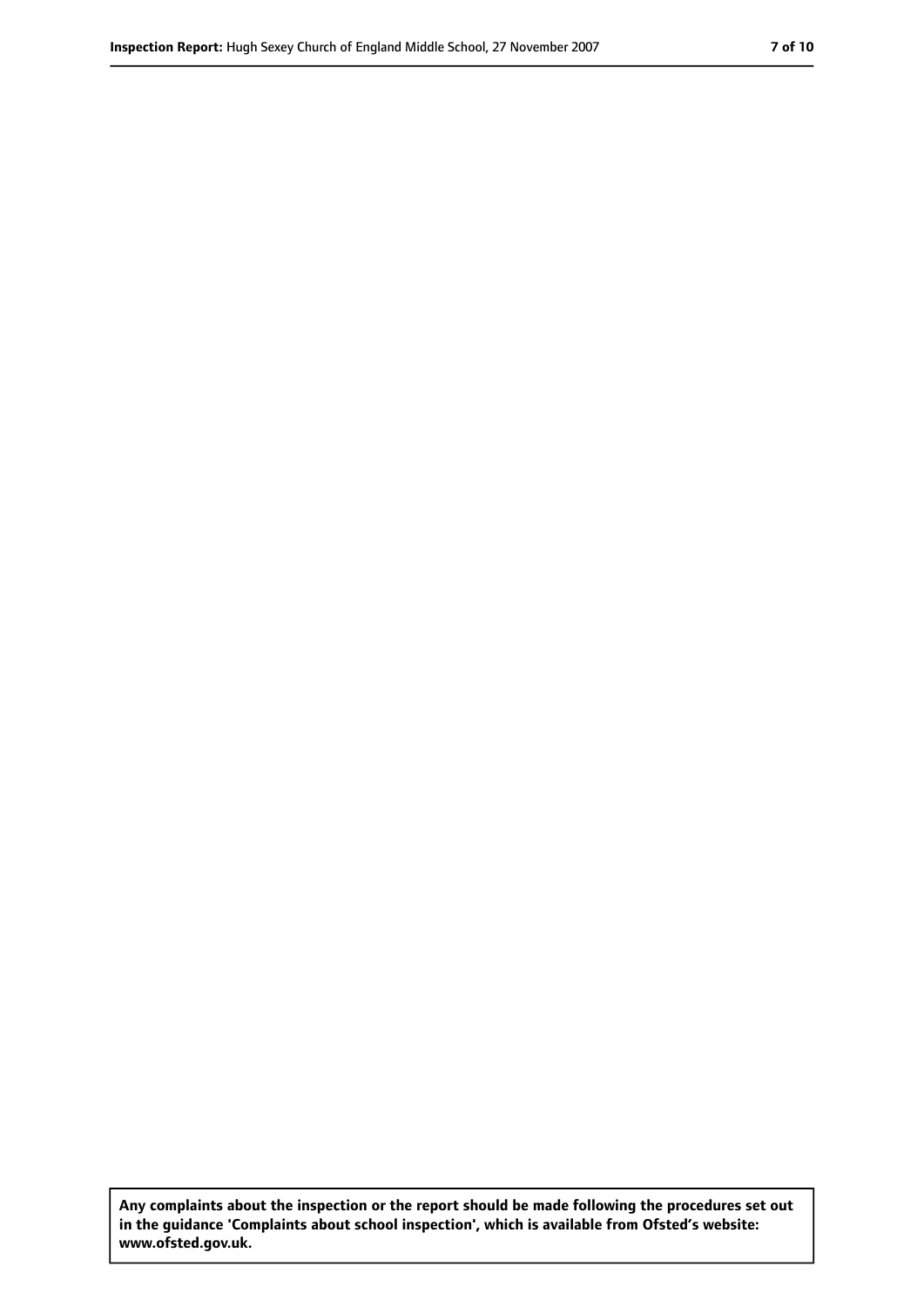**Any complaints about the inspection or the report should be made following the procedures set out in the guidance 'Complaints about school inspection', which is available from Ofsted's website: www.ofsted.gov.uk.**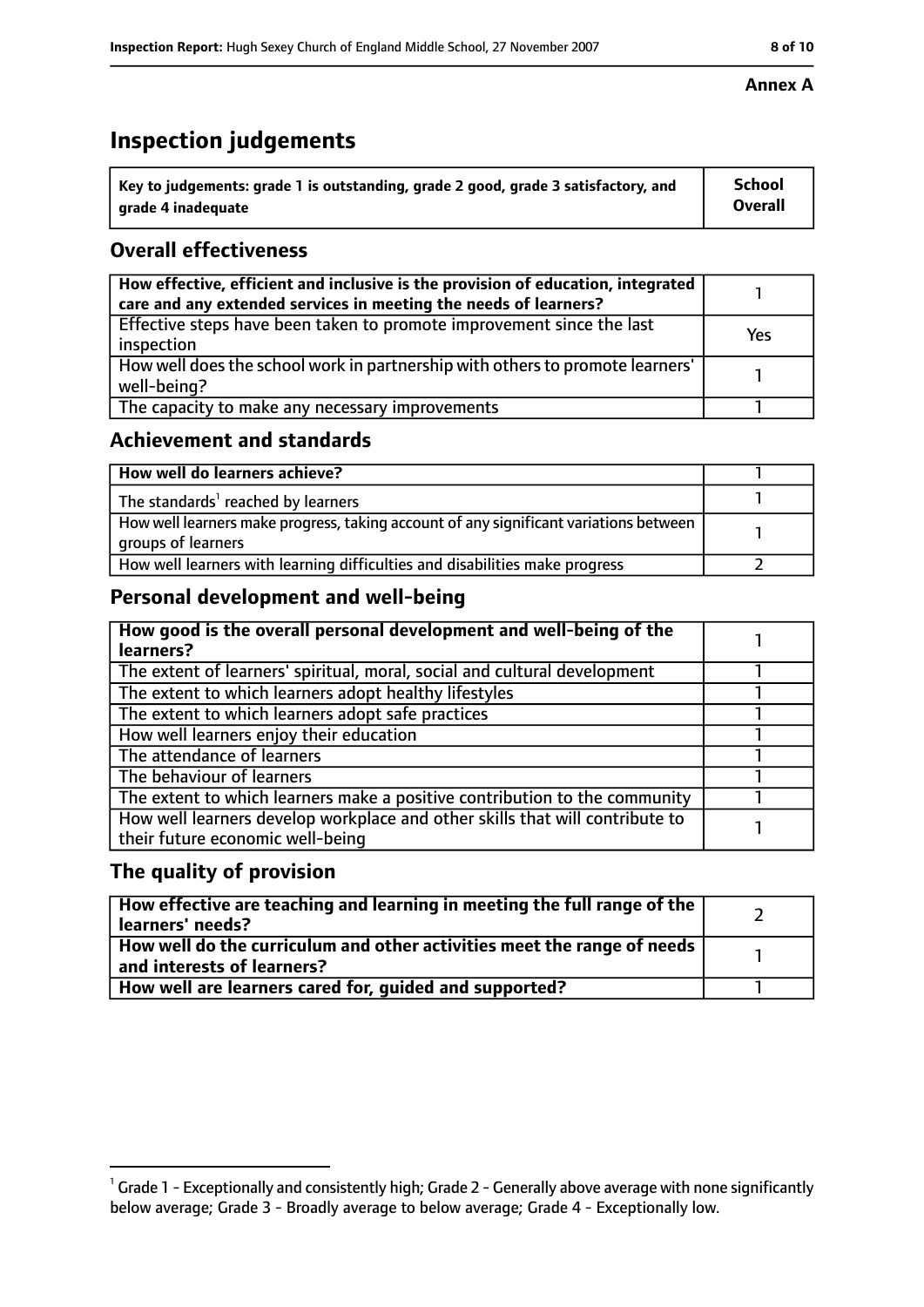# **Inspection judgements**

| $^{\backprime}$ Key to judgements: grade 1 is outstanding, grade 2 good, grade 3 satisfactory, and | <b>School</b>  |
|----------------------------------------------------------------------------------------------------|----------------|
| arade 4 inadeguate                                                                                 | <b>Overall</b> |

### **Overall effectiveness**

| How effective, efficient and inclusive is the provision of education, integrated<br>care and any extended services in meeting the needs of learners? |     |
|------------------------------------------------------------------------------------------------------------------------------------------------------|-----|
| Effective steps have been taken to promote improvement since the last<br>inspection                                                                  | Yes |
| How well does the school work in partnership with others to promote learners'<br>well-being?                                                         |     |
| The capacity to make any necessary improvements                                                                                                      |     |

#### **Achievement and standards**

| How well do learners achieve?                                                                               |  |
|-------------------------------------------------------------------------------------------------------------|--|
| The standards <sup>1</sup> reached by learners                                                              |  |
| How well learners make progress, taking account of any significant variations between<br>groups of learners |  |
| How well learners with learning difficulties and disabilities make progress                                 |  |

## **Personal development and well-being**

| How good is the overall personal development and well-being of the<br>learners? |  |
|---------------------------------------------------------------------------------|--|
|                                                                                 |  |
| The extent of learners' spiritual, moral, social and cultural development       |  |
| The extent to which learners adopt healthy lifestyles                           |  |
| The extent to which learners adopt safe practices                               |  |
| How well learners enjoy their education                                         |  |
| The attendance of learners                                                      |  |
| The behaviour of learners                                                       |  |
| The extent to which learners make a positive contribution to the community      |  |
| How well learners develop workplace and other skills that will contribute to    |  |
| their future economic well-being                                                |  |

#### **The quality of provision**

| How effective are teaching and learning in meeting the full range of the<br>learners' needs?          |  |
|-------------------------------------------------------------------------------------------------------|--|
| How well do the curriculum and other activities meet the range of needs<br>and interests of learners? |  |
| How well are learners cared for, quided and supported?                                                |  |

#### **Annex A**

 $^1$  Grade 1 - Exceptionally and consistently high; Grade 2 - Generally above average with none significantly below average; Grade 3 - Broadly average to below average; Grade 4 - Exceptionally low.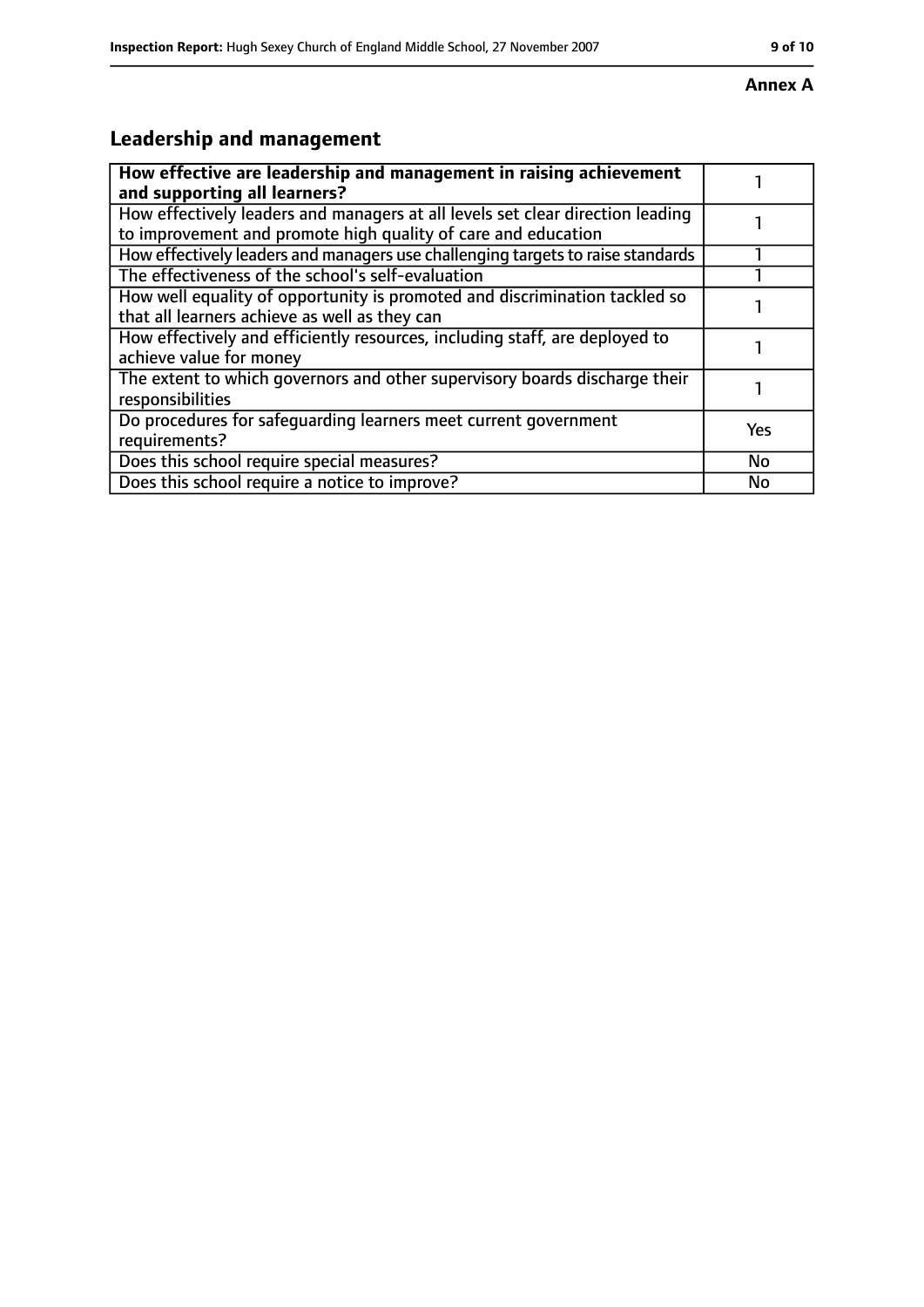# **Leadership and management**

| How effective are leadership and management in raising achievement<br>and supporting all learners?                                              |           |
|-------------------------------------------------------------------------------------------------------------------------------------------------|-----------|
| How effectively leaders and managers at all levels set clear direction leading<br>to improvement and promote high quality of care and education |           |
| How effectively leaders and managers use challenging targets to raise standards                                                                 |           |
| The effectiveness of the school's self-evaluation                                                                                               |           |
| How well equality of opportunity is promoted and discrimination tackled so<br>that all learners achieve as well as they can                     |           |
| How effectively and efficiently resources, including staff, are deployed to<br>achieve value for money                                          |           |
| The extent to which governors and other supervisory boards discharge their<br>responsibilities                                                  |           |
| Do procedures for safequarding learners meet current government<br>requirements?                                                                | Yes       |
| Does this school require special measures?                                                                                                      | <b>No</b> |
| Does this school require a notice to improve?                                                                                                   | No        |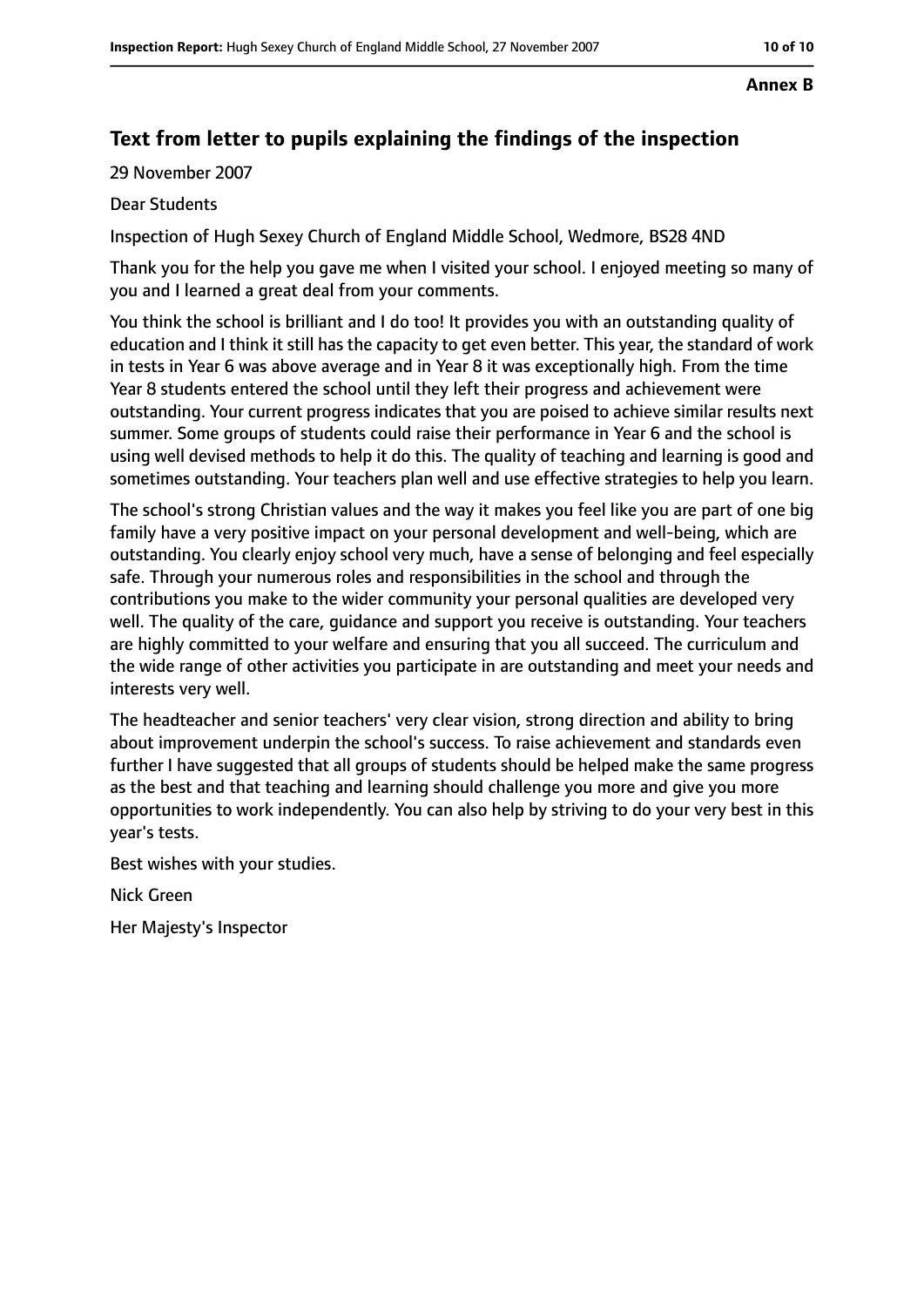#### **Annex B**

## **Text from letter to pupils explaining the findings of the inspection**

29 November 2007

#### Dear Students

Inspection of Hugh Sexey Church of England Middle School, Wedmore, BS28 4ND

Thank you for the help you gave me when I visited your school. I enjoyed meeting so many of you and I learned a great deal from your comments.

You think the school is brilliant and I do too! It provides you with an outstanding quality of education and I think it still has the capacity to get even better. This year, the standard of work in tests in Year 6 was above average and in Year 8 it was exceptionally high. From the time Year 8 students entered the school until they left their progress and achievement were outstanding. Your current progress indicates that you are poised to achieve similar results next summer. Some groups of students could raise their performance in Year 6 and the school is using well devised methods to help it do this. The quality of teaching and learning is good and sometimes outstanding. Your teachers plan well and use effective strategies to help you learn.

The school's strong Christian values and the way it makes you feel like you are part of one big family have a very positive impact on your personal development and well-being, which are outstanding. You clearly enjoy school very much, have a sense of belonging and feel especially safe. Through your numerous roles and responsibilities in the school and through the contributions you make to the wider community your personal qualities are developed very well. The quality of the care, guidance and support you receive is outstanding. Your teachers are highly committed to your welfare and ensuring that you all succeed. The curriculum and the wide range of other activities you participate in are outstanding and meet your needs and interests very well.

The headteacher and senior teachers' very clear vision, strong direction and ability to bring about improvement underpin the school's success. To raise achievement and standards even further I have suggested that all groups of students should be helped make the same progress as the best and that teaching and learning should challenge you more and give you more opportunities to work independently. You can also help by striving to do your very best in this year's tests.

Best wishes with your studies.

Nick Green

Her Majesty's Inspector